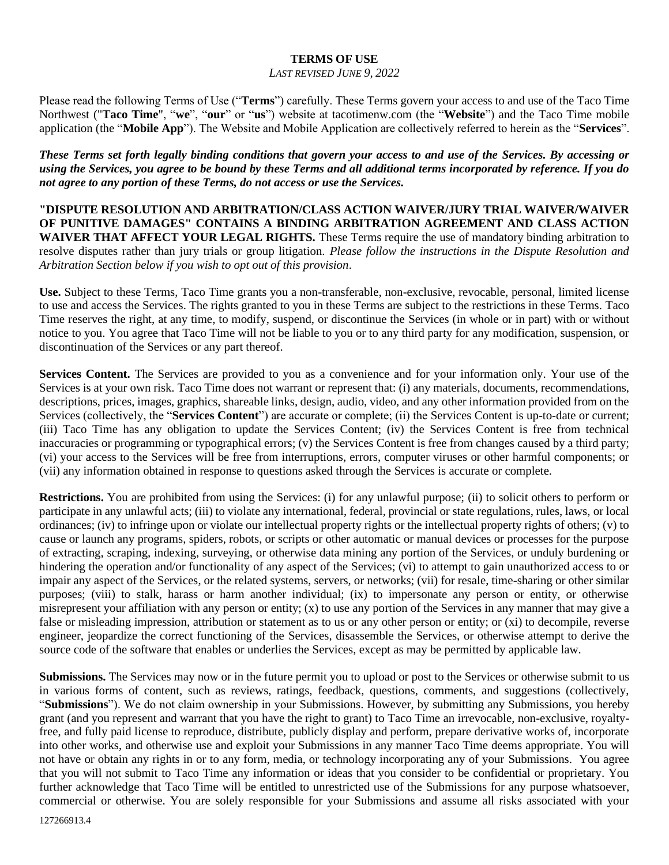## **TERMS OF USE**

## *LAST REVISED JUNE 9, 2022*

Please read the following Terms of Use ("**Terms**") carefully. These Terms govern your access to and use of the Taco Time Northwest ("**Taco Time**", "**we**", "**our**" or "**us**") website at tacotimenw.com (the "**Website**") and the Taco Time mobile application (the "**Mobile App**"). The Website and Mobile Application are collectively referred to herein as the "**Services**".

*These Terms set forth legally binding conditions that govern your access to and use of the Services. By accessing or using the Services, you agree to be bound by these Terms and all additional terms incorporated by reference. If you do not agree to any portion of these Terms, do not access or use the Services.*

**"DISPUTE RESOLUTION AND ARBITRATION/CLASS ACTION WAIVER/JURY TRIAL WAIVER/WAIVER OF PUNITIVE DAMAGES" CONTAINS A BINDING ARBITRATION AGREEMENT AND CLASS ACTION WAIVER THAT AFFECT YOUR LEGAL RIGHTS.** These Terms require the use of mandatory binding arbitration to resolve disputes rather than jury trials or group litigation. *Please follow the instructions in the Dispute Resolution and Arbitration Section below if you wish to opt out of this provision*.

**Use.** Subject to these Terms, Taco Time grants you a non-transferable, non-exclusive, revocable, personal, limited license to use and access the Services. The rights granted to you in these Terms are subject to the restrictions in these Terms. Taco Time reserves the right, at any time, to modify, suspend, or discontinue the Services (in whole or in part) with or without notice to you. You agree that Taco Time will not be liable to you or to any third party for any modification, suspension, or discontinuation of the Services or any part thereof.

**Services Content.** The Services are provided to you as a convenience and for your information only. Your use of the Services is at your own risk. Taco Time does not warrant or represent that: (i) any materials, documents, recommendations, descriptions, prices, images, graphics, shareable links, design, audio, video, and any other information provided from on the Services (collectively, the "**Services Content**") are accurate or complete; (ii) the Services Content is up-to-date or current; (iii) Taco Time has any obligation to update the Services Content; (iv) the Services Content is free from technical inaccuracies or programming or typographical errors; (v) the Services Content is free from changes caused by a third party; (vi) your access to the Services will be free from interruptions, errors, computer viruses or other harmful components; or (vii) any information obtained in response to questions asked through the Services is accurate or complete.

**Restrictions.** You are prohibited from using the Services: (i) for any unlawful purpose; (ii) to solicit others to perform or participate in any unlawful acts; (iii) to violate any international, federal, provincial or state regulations, rules, laws, or local ordinances; (iv) to infringe upon or violate our intellectual property rights or the intellectual property rights of others; (v) to cause or launch any programs, spiders, robots, or scripts or other automatic or manual devices or processes for the purpose of extracting, scraping, indexing, surveying, or otherwise data mining any portion of the Services, or unduly burdening or hindering the operation and/or functionality of any aspect of the Services; (vi) to attempt to gain unauthorized access to or impair any aspect of the Services, or the related systems, servers, or networks; (vii) for resale, time-sharing or other similar purposes; (viii) to stalk, harass or harm another individual; (ix) to impersonate any person or entity, or otherwise misrepresent your affiliation with any person or entity;  $(x)$  to use any portion of the Services in any manner that may give a false or misleading impression, attribution or statement as to us or any other person or entity; or (xi) to decompile, reverse engineer, jeopardize the correct functioning of the Services, disassemble the Services, or otherwise attempt to derive the source code of the software that enables or underlies the Services, except as may be permitted by applicable law.

**Submissions.** The Services may now or in the future permit you to upload or post to the Services or otherwise submit to us in various forms of content, such as reviews, ratings, feedback, questions, comments, and suggestions (collectively, "**Submissions**"). We do not claim ownership in your Submissions. However, by submitting any Submissions, you hereby grant (and you represent and warrant that you have the right to grant) to Taco Time an irrevocable, non-exclusive, royaltyfree, and fully paid license to reproduce, distribute, publicly display and perform, prepare derivative works of, incorporate into other works, and otherwise use and exploit your Submissions in any manner Taco Time deems appropriate. You will not have or obtain any rights in or to any form, media, or technology incorporating any of your Submissions. You agree that you will not submit to Taco Time any information or ideas that you consider to be confidential or proprietary. You further acknowledge that Taco Time will be entitled to unrestricted use of the Submissions for any purpose whatsoever, commercial or otherwise. You are solely responsible for your Submissions and assume all risks associated with your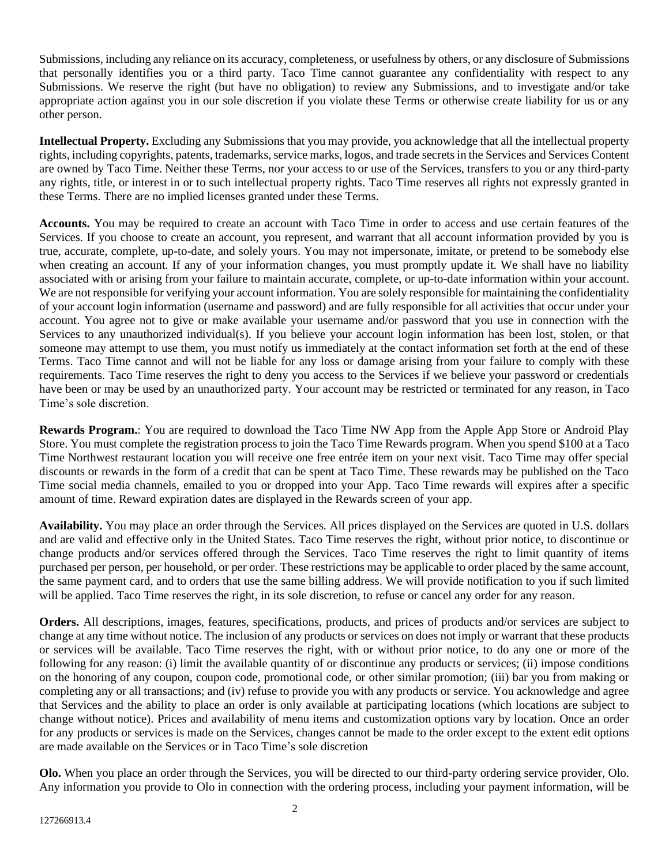Submissions, including any reliance on its accuracy, completeness, or usefulness by others, or any disclosure of Submissions that personally identifies you or a third party. Taco Time cannot guarantee any confidentiality with respect to any Submissions. We reserve the right (but have no obligation) to review any Submissions, and to investigate and/or take appropriate action against you in our sole discretion if you violate these Terms or otherwise create liability for us or any other person.

**Intellectual Property.** Excluding any Submissions that you may provide, you acknowledge that all the intellectual property rights, including copyrights, patents, trademarks, service marks, logos, and trade secrets in the Services and Services Content are owned by Taco Time. Neither these Terms, nor your access to or use of the Services, transfers to you or any third-party any rights, title, or interest in or to such intellectual property rights. Taco Time reserves all rights not expressly granted in these Terms. There are no implied licenses granted under these Terms.

**Accounts.** You may be required to create an account with Taco Time in order to access and use certain features of the Services. If you choose to create an account, you represent, and warrant that all account information provided by you is true, accurate, complete, up-to-date, and solely yours. You may not impersonate, imitate, or pretend to be somebody else when creating an account. If any of your information changes, you must promptly update it. We shall have no liability associated with or arising from your failure to maintain accurate, complete, or up-to-date information within your account. We are not responsible for verifying your account information. You are solely responsible for maintaining the confidentiality of your account login information (username and password) and are fully responsible for all activities that occur under your account. You agree not to give or make available your username and/or password that you use in connection with the Services to any unauthorized individual(s). If you believe your account login information has been lost, stolen, or that someone may attempt to use them, you must notify us immediately at the contact information set forth at the end of these Terms. Taco Time cannot and will not be liable for any loss or damage arising from your failure to comply with these requirements. Taco Time reserves the right to deny you access to the Services if we believe your password or credentials have been or may be used by an unauthorized party. Your account may be restricted or terminated for any reason, in Taco Time's sole discretion.

**Rewards Program.**: You are required to download the Taco Time NW App from the Apple App Store or Android Play Store. You must complete the registration process to join the Taco Time Rewards program. When you spend \$100 at a Taco Time Northwest restaurant location you will receive one free entrée item on your next visit. Taco Time may offer special discounts or rewards in the form of a credit that can be spent at Taco Time. These rewards may be published on the Taco Time social media channels, emailed to you or dropped into your App. Taco Time rewards will expires after a specific amount of time. Reward expiration dates are displayed in the Rewards screen of your app.

**Availability.** You may place an order through the Services. All prices displayed on the Services are quoted in U.S. dollars and are valid and effective only in the United States. Taco Time reserves the right, without prior notice, to discontinue or change products and/or services offered through the Services. Taco Time reserves the right to limit quantity of items purchased per person, per household, or per order. These restrictions may be applicable to order placed by the same account, the same payment card, and to orders that use the same billing address. We will provide notification to you if such limited will be applied. Taco Time reserves the right, in its sole discretion, to refuse or cancel any order for any reason.

**Orders.** All descriptions, images, features, specifications, products, and prices of products and/or services are subject to change at any time without notice. The inclusion of any products or services on does not imply or warrant that these products or services will be available. Taco Time reserves the right, with or without prior notice, to do any one or more of the following for any reason: (i) limit the available quantity of or discontinue any products or services; (ii) impose conditions on the honoring of any coupon, coupon code, promotional code, or other similar promotion; (iii) bar you from making or completing any or all transactions; and (iv) refuse to provide you with any products or service. You acknowledge and agree that Services and the ability to place an order is only available at participating locations (which locations are subject to change without notice). Prices and availability of menu items and customization options vary by location. Once an order for any products or services is made on the Services, changes cannot be made to the order except to the extent edit options are made available on the Services or in Taco Time's sole discretion

**Olo.** When you place an order through the Services, you will be directed to our third-party ordering service provider, Olo. Any information you provide to Olo in connection with the ordering process, including your payment information, will be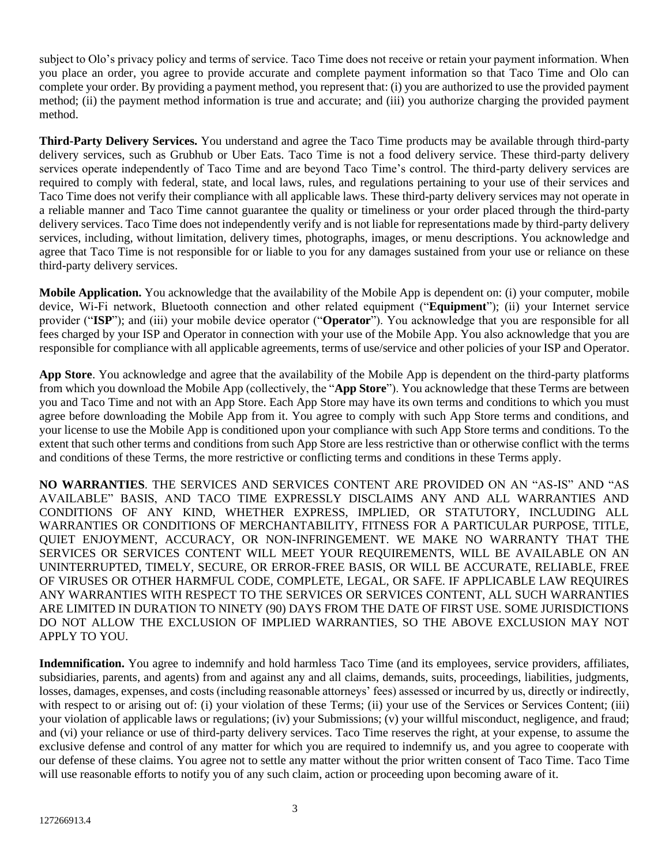subject to Olo's privacy policy and terms of service. Taco Time does not receive or retain your payment information. When you place an order, you agree to provide accurate and complete payment information so that Taco Time and Olo can complete your order. By providing a payment method, you represent that: (i) you are authorized to use the provided payment method; (ii) the payment method information is true and accurate; and (iii) you authorize charging the provided payment method.

**Third-Party Delivery Services.** You understand and agree the Taco Time products may be available through third-party delivery services, such as Grubhub or Uber Eats. Taco Time is not a food delivery service. These third-party delivery services operate independently of Taco Time and are beyond Taco Time's control. The third-party delivery services are required to comply with federal, state, and local laws, rules, and regulations pertaining to your use of their services and Taco Time does not verify their compliance with all applicable laws. These third-party delivery services may not operate in a reliable manner and Taco Time cannot guarantee the quality or timeliness or your order placed through the third-party delivery services. Taco Time does not independently verify and is not liable for representations made by third-party delivery services, including, without limitation, delivery times, photographs, images, or menu descriptions. You acknowledge and agree that Taco Time is not responsible for or liable to you for any damages sustained from your use or reliance on these third-party delivery services.

**Mobile Application.** You acknowledge that the availability of the Mobile App is dependent on: (i) your computer, mobile device, Wi-Fi network, Bluetooth connection and other related equipment ("**Equipment**"); (ii) your Internet service provider ("**ISP**"); and (iii) your mobile device operator ("**Operator**"). You acknowledge that you are responsible for all fees charged by your ISP and Operator in connection with your use of the Mobile App. You also acknowledge that you are responsible for compliance with all applicable agreements, terms of use/service and other policies of your ISP and Operator.

**App Store**. You acknowledge and agree that the availability of the Mobile App is dependent on the third-party platforms from which you download the Mobile App (collectively, the "**App Store**"). You acknowledge that these Terms are between you and Taco Time and not with an App Store. Each App Store may have its own terms and conditions to which you must agree before downloading the Mobile App from it. You agree to comply with such App Store terms and conditions, and your license to use the Mobile App is conditioned upon your compliance with such App Store terms and conditions. To the extent that such other terms and conditions from such App Store are less restrictive than or otherwise conflict with the terms and conditions of these Terms, the more restrictive or conflicting terms and conditions in these Terms apply.

**NO WARRANTIES**. THE SERVICES AND SERVICES CONTENT ARE PROVIDED ON AN "AS-IS" AND "AS AVAILABLE" BASIS, AND TACO TIME EXPRESSLY DISCLAIMS ANY AND ALL WARRANTIES AND CONDITIONS OF ANY KIND, WHETHER EXPRESS, IMPLIED, OR STATUTORY, INCLUDING ALL WARRANTIES OR CONDITIONS OF MERCHANTABILITY, FITNESS FOR A PARTICULAR PURPOSE, TITLE, QUIET ENJOYMENT, ACCURACY, OR NON-INFRINGEMENT. WE MAKE NO WARRANTY THAT THE SERVICES OR SERVICES CONTENT WILL MEET YOUR REQUIREMENTS, WILL BE AVAILABLE ON AN UNINTERRUPTED, TIMELY, SECURE, OR ERROR-FREE BASIS, OR WILL BE ACCURATE, RELIABLE, FREE OF VIRUSES OR OTHER HARMFUL CODE, COMPLETE, LEGAL, OR SAFE. IF APPLICABLE LAW REQUIRES ANY WARRANTIES WITH RESPECT TO THE SERVICES OR SERVICES CONTENT, ALL SUCH WARRANTIES ARE LIMITED IN DURATION TO NINETY (90) DAYS FROM THE DATE OF FIRST USE. SOME JURISDICTIONS DO NOT ALLOW THE EXCLUSION OF IMPLIED WARRANTIES, SO THE ABOVE EXCLUSION MAY NOT APPLY TO YOU.

**Indemnification.** You agree to indemnify and hold harmless Taco Time (and its employees, service providers, affiliates, subsidiaries, parents, and agents) from and against any and all claims, demands, suits, proceedings, liabilities, judgments, losses, damages, expenses, and costs (including reasonable attorneys' fees) assessed or incurred by us, directly or indirectly, with respect to or arising out of: (i) your violation of these Terms; (ii) your use of the Services or Services Content; (iii) your violation of applicable laws or regulations; (iv) your Submissions; (v) your willful misconduct, negligence, and fraud; and (vi) your reliance or use of third-party delivery services. Taco Time reserves the right, at your expense, to assume the exclusive defense and control of any matter for which you are required to indemnify us, and you agree to cooperate with our defense of these claims. You agree not to settle any matter without the prior written consent of Taco Time. Taco Time will use reasonable efforts to notify you of any such claim, action or proceeding upon becoming aware of it.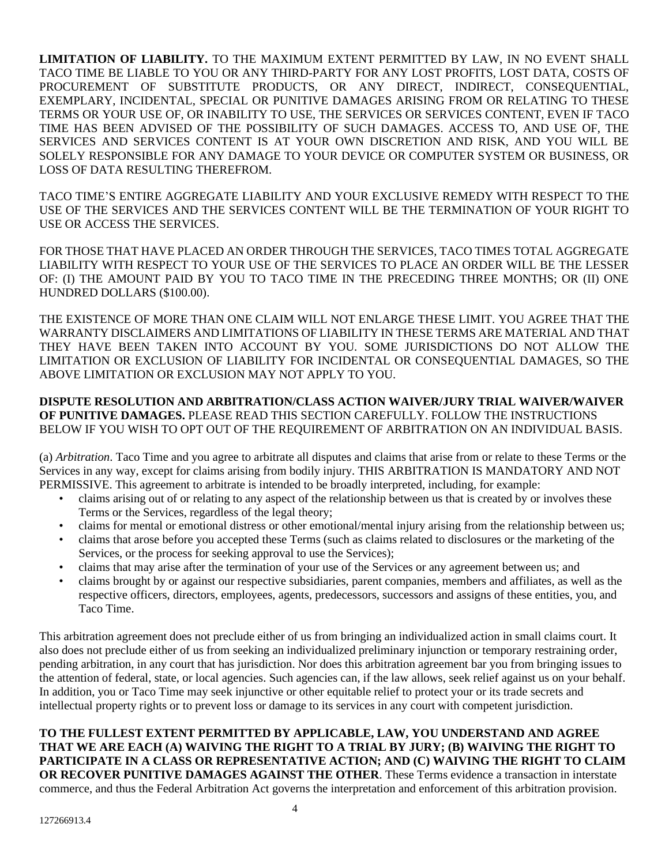**LIMITATION OF LIABILITY.** TO THE MAXIMUM EXTENT PERMITTED BY LAW, IN NO EVENT SHALL TACO TIME BE LIABLE TO YOU OR ANY THIRD-PARTY FOR ANY LOST PROFITS, LOST DATA, COSTS OF PROCUREMENT OF SUBSTITUTE PRODUCTS, OR ANY DIRECT, INDIRECT, CONSEQUENTIAL, EXEMPLARY, INCIDENTAL, SPECIAL OR PUNITIVE DAMAGES ARISING FROM OR RELATING TO THESE TERMS OR YOUR USE OF, OR INABILITY TO USE, THE SERVICES OR SERVICES CONTENT, EVEN IF TACO TIME HAS BEEN ADVISED OF THE POSSIBILITY OF SUCH DAMAGES. ACCESS TO, AND USE OF, THE SERVICES AND SERVICES CONTENT IS AT YOUR OWN DISCRETION AND RISK, AND YOU WILL BE SOLELY RESPONSIBLE FOR ANY DAMAGE TO YOUR DEVICE OR COMPUTER SYSTEM OR BUSINESS, OR LOSS OF DATA RESULTING THEREFROM.

TACO TIME'S ENTIRE AGGREGATE LIABILITY AND YOUR EXCLUSIVE REMEDY WITH RESPECT TO THE USE OF THE SERVICES AND THE SERVICES CONTENT WILL BE THE TERMINATION OF YOUR RIGHT TO USE OR ACCESS THE SERVICES.

FOR THOSE THAT HAVE PLACED AN ORDER THROUGH THE SERVICES, TACO TIMES TOTAL AGGREGATE LIABILITY WITH RESPECT TO YOUR USE OF THE SERVICES TO PLACE AN ORDER WILL BE THE LESSER OF: (I) THE AMOUNT PAID BY YOU TO TACO TIME IN THE PRECEDING THREE MONTHS; OR (II) ONE HUNDRED DOLLARS (\$100.00).

THE EXISTENCE OF MORE THAN ONE CLAIM WILL NOT ENLARGE THESE LIMIT. YOU AGREE THAT THE WARRANTY DISCLAIMERS AND LIMITATIONS OF LIABILITY IN THESE TERMS ARE MATERIAL AND THAT THEY HAVE BEEN TAKEN INTO ACCOUNT BY YOU. SOME JURISDICTIONS DO NOT ALLOW THE LIMITATION OR EXCLUSION OF LIABILITY FOR INCIDENTAL OR CONSEQUENTIAL DAMAGES, SO THE ABOVE LIMITATION OR EXCLUSION MAY NOT APPLY TO YOU.

## **DISPUTE RESOLUTION AND ARBITRATION/CLASS ACTION WAIVER/JURY TRIAL WAIVER/WAIVER OF PUNITIVE DAMAGES.** PLEASE READ THIS SECTION CAREFULLY. FOLLOW THE INSTRUCTIONS BELOW IF YOU WISH TO OPT OUT OF THE REQUIREMENT OF ARBITRATION ON AN INDIVIDUAL BASIS.

(a) *Arbitration*. Taco Time and you agree to arbitrate all disputes and claims that arise from or relate to these Terms or the Services in any way, except for claims arising from bodily injury. THIS ARBITRATION IS MANDATORY AND NOT PERMISSIVE. This agreement to arbitrate is intended to be broadly interpreted, including, for example:

- claims arising out of or relating to any aspect of the relationship between us that is created by or involves these Terms or the Services, regardless of the legal theory;
- claims for mental or emotional distress or other emotional/mental injury arising from the relationship between us;
- claims that arose before you accepted these Terms (such as claims related to disclosures or the marketing of the Services, or the process for seeking approval to use the Services);
- claims that may arise after the termination of your use of the Services or any agreement between us; and
- claims brought by or against our respective subsidiaries, parent companies, members and affiliates, as well as the respective officers, directors, employees, agents, predecessors, successors and assigns of these entities, you, and Taco Time.

This arbitration agreement does not preclude either of us from bringing an individualized action in small claims court. It also does not preclude either of us from seeking an individualized preliminary injunction or temporary restraining order, pending arbitration, in any court that has jurisdiction. Nor does this arbitration agreement bar you from bringing issues to the attention of federal, state, or local agencies. Such agencies can, if the law allows, seek relief against us on your behalf. In addition, you or Taco Time may seek injunctive or other equitable relief to protect your or its trade secrets and intellectual property rights or to prevent loss or damage to its services in any court with competent jurisdiction.

## **TO THE FULLEST EXTENT PERMITTED BY APPLICABLE, LAW, YOU UNDERSTAND AND AGREE THAT WE ARE EACH (A) WAIVING THE RIGHT TO A TRIAL BY JURY; (B) WAIVING THE RIGHT TO PARTICIPATE IN A CLASS OR REPRESENTATIVE ACTION; AND (C) WAIVING THE RIGHT TO CLAIM OR RECOVER PUNITIVE DAMAGES AGAINST THE OTHER**. These Terms evidence a transaction in interstate commerce, and thus the Federal Arbitration Act governs the interpretation and enforcement of this arbitration provision.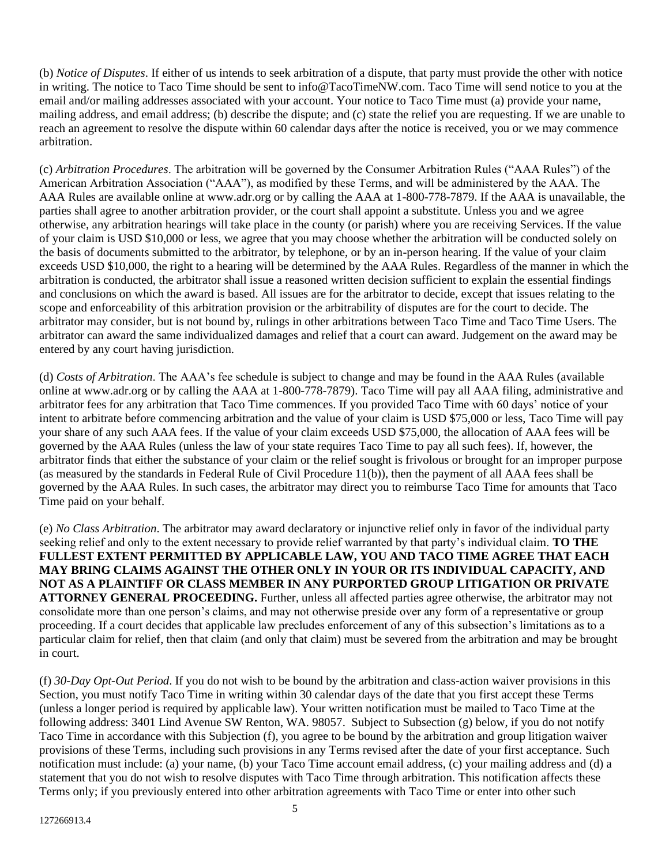(b) *Notice of Disputes*. If either of us intends to seek arbitration of a dispute, that party must provide the other with notice in writing. The notice to Taco Time should be sent to info@TacoTimeNW.com. Taco Time will send notice to you at the email and/or mailing addresses associated with your account. Your notice to Taco Time must (a) provide your name, mailing address, and email address; (b) describe the dispute; and (c) state the relief you are requesting. If we are unable to reach an agreement to resolve the dispute within 60 calendar days after the notice is received, you or we may commence arbitration.

(c) *Arbitration Procedures*. The arbitration will be governed by the Consumer Arbitration Rules ("AAA Rules") of the American Arbitration Association ("AAA"), as modified by these Terms, and will be administered by the AAA. The AAA Rules are available online at www.adr.org or by calling the AAA at 1-800-778-7879. If the AAA is unavailable, the parties shall agree to another arbitration provider, or the court shall appoint a substitute. Unless you and we agree otherwise, any arbitration hearings will take place in the county (or parish) where you are receiving Services. If the value of your claim is USD \$10,000 or less, we agree that you may choose whether the arbitration will be conducted solely on the basis of documents submitted to the arbitrator, by telephone, or by an in-person hearing. If the value of your claim exceeds USD \$10,000, the right to a hearing will be determined by the AAA Rules. Regardless of the manner in which the arbitration is conducted, the arbitrator shall issue a reasoned written decision sufficient to explain the essential findings and conclusions on which the award is based. All issues are for the arbitrator to decide, except that issues relating to the scope and enforceability of this arbitration provision or the arbitrability of disputes are for the court to decide. The arbitrator may consider, but is not bound by, rulings in other arbitrations between Taco Time and Taco Time Users. The arbitrator can award the same individualized damages and relief that a court can award. Judgement on the award may be entered by any court having jurisdiction.

(d) *Costs of Arbitration*. The AAA's fee schedule is subject to change and may be found in the AAA Rules (available online at www.adr.org or by calling the AAA at 1-800-778-7879). Taco Time will pay all AAA filing, administrative and arbitrator fees for any arbitration that Taco Time commences. If you provided Taco Time with 60 days' notice of your intent to arbitrate before commencing arbitration and the value of your claim is USD \$75,000 or less, Taco Time will pay your share of any such AAA fees. If the value of your claim exceeds USD \$75,000, the allocation of AAA fees will be governed by the AAA Rules (unless the law of your state requires Taco Time to pay all such fees). If, however, the arbitrator finds that either the substance of your claim or the relief sought is frivolous or brought for an improper purpose (as measured by the standards in Federal Rule of Civil Procedure 11(b)), then the payment of all AAA fees shall be governed by the AAA Rules. In such cases, the arbitrator may direct you to reimburse Taco Time for amounts that Taco Time paid on your behalf.

(e) *No Class Arbitration*. The arbitrator may award declaratory or injunctive relief only in favor of the individual party seeking relief and only to the extent necessary to provide relief warranted by that party's individual claim. **TO THE FULLEST EXTENT PERMITTED BY APPLICABLE LAW, YOU AND TACO TIME AGREE THAT EACH MAY BRING CLAIMS AGAINST THE OTHER ONLY IN YOUR OR ITS INDIVIDUAL CAPACITY, AND NOT AS A PLAINTIFF OR CLASS MEMBER IN ANY PURPORTED GROUP LITIGATION OR PRIVATE ATTORNEY GENERAL PROCEEDING.** Further, unless all affected parties agree otherwise, the arbitrator may not consolidate more than one person's claims, and may not otherwise preside over any form of a representative or group proceeding. If a court decides that applicable law precludes enforcement of any of this subsection's limitations as to a particular claim for relief, then that claim (and only that claim) must be severed from the arbitration and may be brought in court.

(f) *30-Day Opt-Out Period*. If you do not wish to be bound by the arbitration and class-action waiver provisions in this Section, you must notify Taco Time in writing within 30 calendar days of the date that you first accept these Terms (unless a longer period is required by applicable law). Your written notification must be mailed to Taco Time at the following address: 3401 Lind Avenue SW Renton, WA. 98057. Subject to Subsection (g) below, if you do not notify Taco Time in accordance with this Subjection (f), you agree to be bound by the arbitration and group litigation waiver provisions of these Terms, including such provisions in any Terms revised after the date of your first acceptance. Such notification must include: (a) your name, (b) your Taco Time account email address, (c) your mailing address and (d) a statement that you do not wish to resolve disputes with Taco Time through arbitration. This notification affects these Terms only; if you previously entered into other arbitration agreements with Taco Time or enter into other such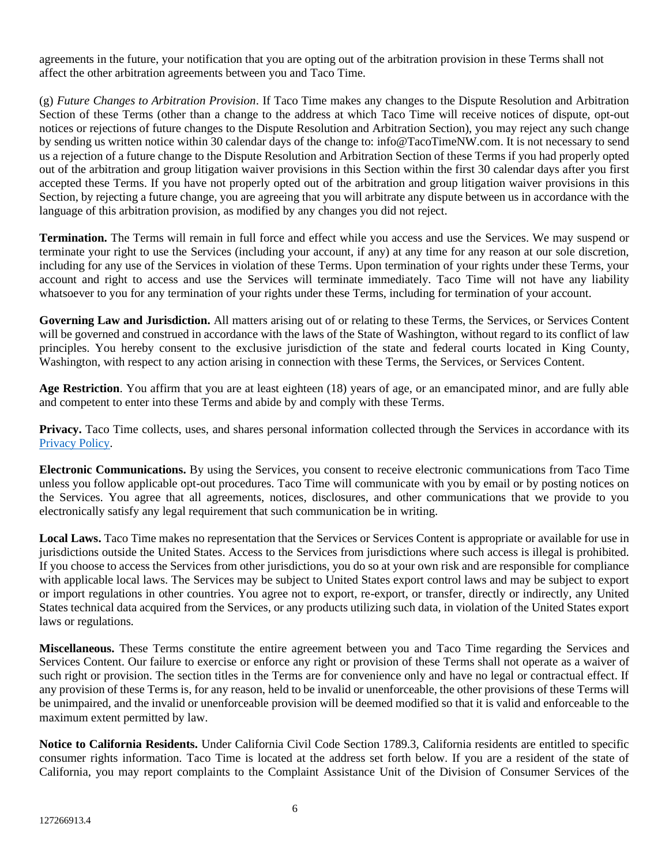agreements in the future, your notification that you are opting out of the arbitration provision in these Terms shall not affect the other arbitration agreements between you and Taco Time.

(g) *Future Changes to Arbitration Provision*. If Taco Time makes any changes to the Dispute Resolution and Arbitration Section of these Terms (other than a change to the address at which Taco Time will receive notices of dispute, opt-out notices or rejections of future changes to the Dispute Resolution and Arbitration Section), you may reject any such change by sending us written notice within 30 calendar days of the change to: info@TacoTimeNW.com. It is not necessary to send us a rejection of a future change to the Dispute Resolution and Arbitration Section of these Terms if you had properly opted out of the arbitration and group litigation waiver provisions in this Section within the first 30 calendar days after you first accepted these Terms. If you have not properly opted out of the arbitration and group litigation waiver provisions in this Section, by rejecting a future change, you are agreeing that you will arbitrate any dispute between us in accordance with the language of this arbitration provision, as modified by any changes you did not reject.

**Termination.** The Terms will remain in full force and effect while you access and use the Services. We may suspend or terminate your right to use the Services (including your account, if any) at any time for any reason at our sole discretion, including for any use of the Services in violation of these Terms. Upon termination of your rights under these Terms, your account and right to access and use the Services will terminate immediately. Taco Time will not have any liability whatsoever to you for any termination of your rights under these Terms, including for termination of your account.

**Governing Law and Jurisdiction.** All matters arising out of or relating to these Terms, the Services, or Services Content will be governed and construed in accordance with the laws of the State of Washington, without regard to its conflict of law principles. You hereby consent to the exclusive jurisdiction of the state and federal courts located in King County, Washington, with respect to any action arising in connection with these Terms, the Services, or Services Content.

**Age Restriction**. You affirm that you are at least eighteen (18) years of age, or an emancipated minor, and are fully able and competent to enter into these Terms and abide by and comply with these Terms.

**Privacy.** Taco Time collects, uses, and shares personal information collected through the Services in accordance with its [Privacy Policy.](https://tacotimenw.com/wp-content/uploads/2021/12/privacy-policy.pdf)

**Electronic Communications.** By using the Services, you consent to receive electronic communications from Taco Time unless you follow applicable opt-out procedures. Taco Time will communicate with you by email or by posting notices on the Services. You agree that all agreements, notices, disclosures, and other communications that we provide to you electronically satisfy any legal requirement that such communication be in writing.

Local Laws. Taco Time makes no representation that the Services or Services Content is appropriate or available for use in jurisdictions outside the United States. Access to the Services from jurisdictions where such access is illegal is prohibited. If you choose to access the Services from other jurisdictions, you do so at your own risk and are responsible for compliance with applicable local laws. The Services may be subject to United States export control laws and may be subject to export or import regulations in other countries. You agree not to export, re-export, or transfer, directly or indirectly, any United States technical data acquired from the Services, or any products utilizing such data, in violation of the United States export laws or regulations.

**Miscellaneous.** These Terms constitute the entire agreement between you and Taco Time regarding the Services and Services Content. Our failure to exercise or enforce any right or provision of these Terms shall not operate as a waiver of such right or provision. The section titles in the Terms are for convenience only and have no legal or contractual effect. If any provision of these Terms is, for any reason, held to be invalid or unenforceable, the other provisions of these Terms will be unimpaired, and the invalid or unenforceable provision will be deemed modified so that it is valid and enforceable to the maximum extent permitted by law.

**Notice to California Residents.** Under California Civil Code Section 1789.3, California residents are entitled to specific consumer rights information. Taco Time is located at the address set forth below. If you are a resident of the state of California, you may report complaints to the Complaint Assistance Unit of the Division of Consumer Services of the